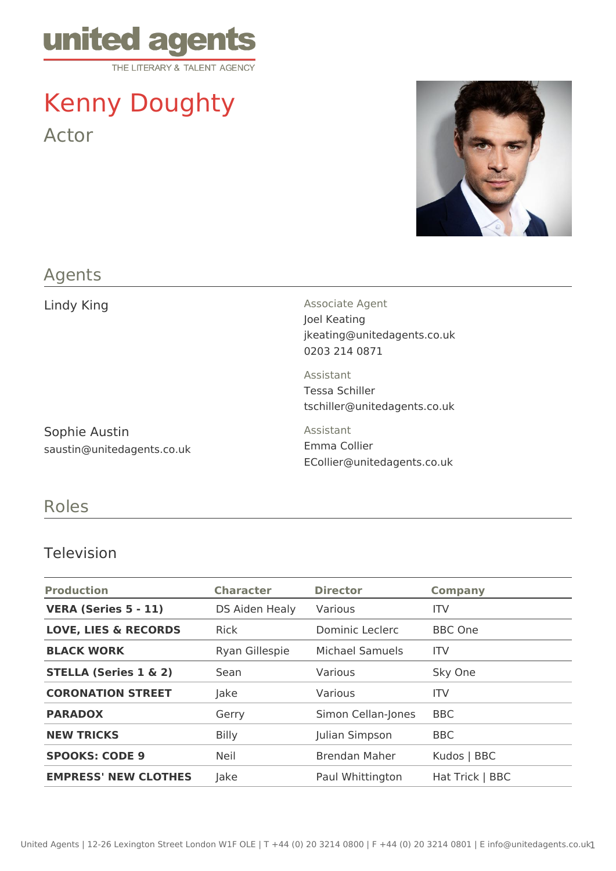

# Kenny Doughty Actor



### Agents

Sophie Austin saustin@unitedagents.co.uk

Lindy King **Associate Agent** Associate Agent Joel Keating jkeating@unitedagents.co.uk 0203 214 0871

> Assistant Tessa Schiller tschiller@unitedagents.co.uk

Assistant Emma Collier ECollier@unitedagents.co.uk

## Roles

#### Television

| <b>Production</b>                | <b>Character</b> | <b>Director</b>      | <b>Company</b>  |
|----------------------------------|------------------|----------------------|-----------------|
| <b>VERA (Series 5 - 11)</b>      | DS Aiden Healy   | Various              | <b>ITV</b>      |
| <b>LOVE, LIES &amp; RECORDS</b>  | <b>Rick</b>      | Dominic Leclerc      | <b>BBC</b> One  |
| <b>BLACK WORK</b>                | Ryan Gillespie   | Michael Samuels      | <b>ITV</b>      |
| <b>STELLA (Series 1 &amp; 2)</b> | Sean             | Various              | Sky One         |
| <b>CORONATION STREET</b>         | Jake             | Various              | <b>ITV</b>      |
| <b>PARADOX</b>                   | Gerry            | Simon Cellan-Jones   | <b>BBC</b>      |
| <b>NEW TRICKS</b>                | <b>Billy</b>     | Julian Simpson       | <b>BBC</b>      |
| <b>SPOOKS: CODE 9</b>            | <b>Neil</b>      | <b>Brendan Maher</b> | Kudos   BBC     |
| <b>EMPRESS' NEW CLOTHES</b>      | Jake             | Paul Whittington     | Hat Trick   BBC |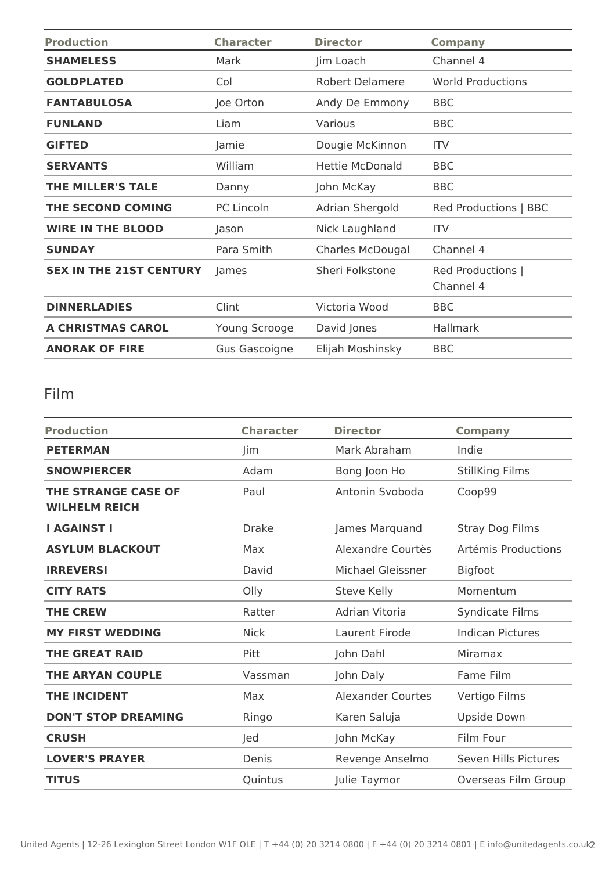| <b>Production</b>              | <b>Character</b>     | <b>Director</b>         | <b>Company</b>                 |
|--------------------------------|----------------------|-------------------------|--------------------------------|
| <b>SHAMELESS</b>               | Mark                 | Jim Loach               | Channel 4                      |
| <b>GOLDPLATED</b>              | Col                  | <b>Robert Delamere</b>  | <b>World Productions</b>       |
| <b>FANTABULOSA</b>             | Joe Orton            | Andy De Emmony          | <b>BBC</b>                     |
| <b>FUNLAND</b>                 | Liam                 | Various                 | <b>BBC</b>                     |
| <b>GIFTED</b>                  | Jamie                | Dougie McKinnon         | <b>ITV</b>                     |
| <b>SERVANTS</b>                | William              | <b>Hettie McDonald</b>  | <b>BBC</b>                     |
| <b>THE MILLER'S TALE</b>       | Danny                | John McKay              | <b>BBC</b>                     |
| THE SECOND COMING              | PC Lincoln           | Adrian Shergold         | Red Productions   BBC          |
| <b>WIRE IN THE BLOOD</b>       | Jason                | Nick Laughland          | <b>ITV</b>                     |
| <b>SUNDAY</b>                  | Para Smith           | <b>Charles McDougal</b> | Channel 4                      |
| <b>SEX IN THE 21ST CENTURY</b> | James                | Sheri Folkstone         | Red Productions  <br>Channel 4 |
| <b>DINNERLADIES</b>            | Clint                | Victoria Wood           | <b>BBC</b>                     |
| <b>A CHRISTMAS CAROL</b>       | Young Scrooge        | David Jones             | <b>Hallmark</b>                |
| <b>ANORAK OF FIRE</b>          | <b>Gus Gascoigne</b> | Elijah Moshinsky        | <b>BBC</b>                     |

# Film

| <b>Production</b>                                  | <b>Character</b> | <b>Director</b>          | <b>Company</b>          |
|----------------------------------------------------|------------------|--------------------------|-------------------------|
| <b>PETERMAN</b>                                    | Jim              | Mark Abraham             | Indie                   |
| <b>SNOWPIERCER</b>                                 | Adam             | Bong Joon Ho             | <b>StillKing Films</b>  |
| <b>THE STRANGE CASE OF</b><br><b>WILHELM REICH</b> | Paul             | Antonin Svoboda          | Coop99                  |
| <b>I AGAINST I</b>                                 | <b>Drake</b>     | James Marquand           | Stray Dog Films         |
| <b>ASYLUM BLACKOUT</b>                             | Max              | Alexandre Courtès        | Artémis Productions     |
| <b>IRREVERSI</b>                                   | David            | <b>Michael Gleissner</b> | <b>Bigfoot</b>          |
| <b>CITY RATS</b>                                   | Olly             | Steve Kelly              | Momentum                |
| <b>THE CREW</b>                                    | Ratter           | Adrian Vitoria           | Syndicate Films         |
| <b>MY FIRST WEDDING</b>                            | <b>Nick</b>      | Laurent Firode           | <b>Indican Pictures</b> |
| <b>THE GREAT RAID</b>                              | Pitt             | John Dahl                | Miramax                 |
| THE ARYAN COUPLE                                   | Vassman          | John Daly                | Fame Film               |
| <b>THE INCIDENT</b>                                | Max              | <b>Alexander Courtes</b> | Vertigo Films           |
| <b>DON'T STOP DREAMING</b>                         | Ringo            | Karen Saluja             | Upside Down             |
| <b>CRUSH</b>                                       | led              | John McKay               | Film Four               |
| <b>LOVER'S PRAYER</b>                              | Denis            | Revenge Anselmo          | Seven Hills Pictures    |
| <b>TITUS</b>                                       | Quintus          | Julie Taymor             | Overseas Film Group     |